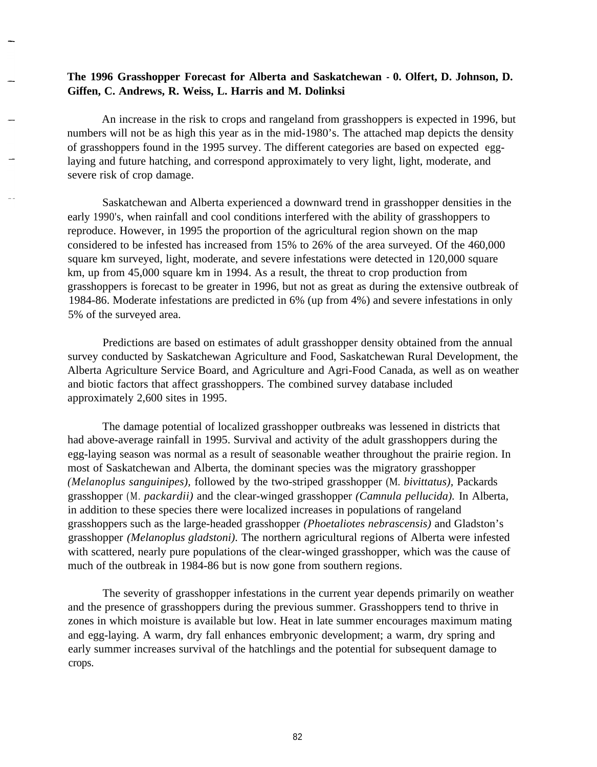## **The 1996 Grasshopper Forecast for Alberta and Saskatchewan - 0. Olfert, D. Johnson, D. Giffen, C. Andrews, R. Weiss, L. Harris and M. Dolinksi**

An increase in the risk to crops and rangeland from grasshoppers is expected in 1996, but numbers will not be as high this year as in the mid-1980's. The attached map depicts the density of grasshoppers found in the 1995 survey. The different categories are based on expected egglaying and future hatching, and correspond approximately to very light, light, moderate, and severe risk of crop damage.

Saskatchewan and Alberta experienced a downward trend in grasshopper densities in the early 1990's, when rainfall and cool conditions interfered with the ability of grasshoppers to reproduce. However, in 1995 the proportion of the agricultural region shown on the map considered to be infested has increased from 15% to 26% of the area surveyed. Of the 460,000 square km surveyed, light, moderate, and severe infestations were detected in 120,000 square km, up from 45,000 square km in 1994. As a result, the threat to crop production from grasshoppers is forecast to be greater in 1996, but not as great as during the extensive outbreak of 1984-86. Moderate infestations are predicted in 6% (up from 4%) and severe infestations in only 5% of the surveyed area.

Predictions are based on estimates of adult grasshopper density obtained from the annual survey conducted by Saskatchewan Agriculture and Food, Saskatchewan Rural Development, the Alberta Agriculture Service Board, and Agriculture and Agri-Food Canada, as well as on weather and biotic factors that affect grasshoppers. The combined survey database included approximately 2,600 sites in 1995.

The damage potential of localized grasshopper outbreaks was lessened in districts that had above-average rainfall in 1995. Survival and activity of the adult grasshoppers during the egg-laying season was normal as a result of seasonable weather throughout the prairie region. In most of Saskatchewan and Alberta, the dominant species was the migratory grasshopper *(Melanoplus sanguinipes),* followed by the two-striped grasshopper (M. *bivittatus),* Packards grasshopper (M. *packardii)* and the clear-winged grasshopper *(Camnula pellucida).* In Alberta, in addition to these species there were localized increases in populations of rangeland grasshoppers such as the large-headed grasshopper *(Phoetaliotes nebrascensis)* and Gladston's grasshopper *(Melanoplus gladstoni).* The northern agricultural regions of Alberta were infested with scattered, nearly pure populations of the clear-winged grasshopper, which was the cause of much of the outbreak in 1984-86 but is now gone from southern regions.

The severity of grasshopper infestations in the current year depends primarily on weather and the presence of grasshoppers during the previous summer. Grasshoppers tend to thrive in zones in which moisture is available but low. Heat in late summer encourages maximum mating and egg-laying. A warm, dry fall enhances embryonic development; a warm, dry spring and early summer increases survival of the hatchlings and the potential for subsequent damage to crops.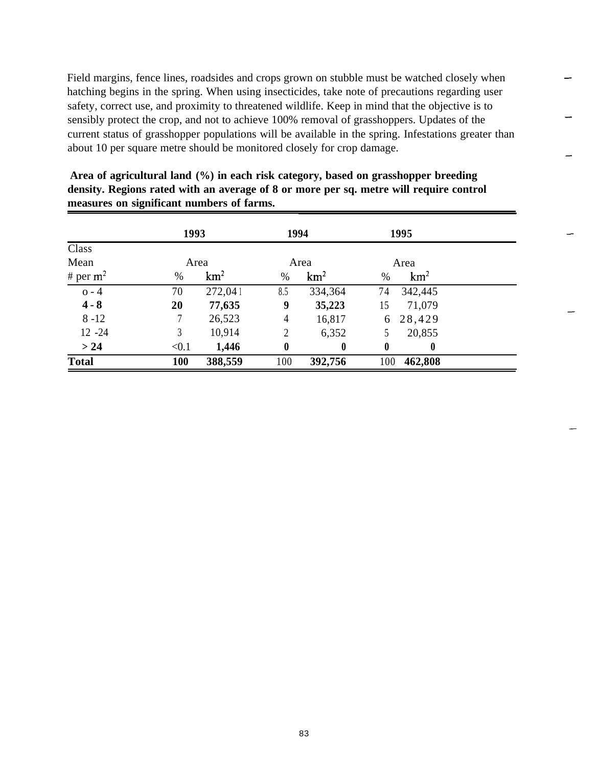Field margins, fence lines, roadsides and crops grown on stubble must be watched closely when hatching begins in the spring. When using insecticides, take note of precautions regarding user safety, correct use, and proximity to threatened wildlife. Keep in mind that the objective is to sensibly protect the crop, and not to achieve 100% removal of grasshoppers. Updates of the current status of grasshopper populations will be available in the spring. Infestations greater than about 10 per square metre should be monitored closely for crop damage.

|              | 1993  |                 | 1994             |                 |          | 1995             |  |
|--------------|-------|-----------------|------------------|-----------------|----------|------------------|--|
| Class        |       |                 |                  |                 |          |                  |  |
| Mean         | Area  |                 | Area             |                 |          | Area             |  |
| # per $m^2$  | $\%$  | km <sup>2</sup> | $\%$             | km <sup>2</sup> | $\%$     | km <sup>2</sup>  |  |
| $o - 4$      | 70    | 272,041         | 8.5              | 334,364         | 74       | 342,445          |  |
| $4 - 8$      | 20    | 77,635          | 9                | 35,223          | 15       | 71,079           |  |
| $8 - 12$     | 7     | 26,523          | $\overline{4}$   | 16,817          |          | 6 28,429         |  |
| $12 - 24$    | 3     | 10,914          | 2                | 6,352           |          | 20,855           |  |
| > 24         | < 0.1 | 1,446           | $\boldsymbol{0}$ | $\bf{0}$        | $\bf{0}$ | $\boldsymbol{0}$ |  |
| <b>Total</b> | 100   | 388,559         | 100              | 392,756         | 100      | 462,808          |  |

**Area of agricultural land (%) in each risk category, based on grasshopper breeding density. Regions rated with an average of 8 or more per sq. metre will require control measures on significant numbers of farms.**